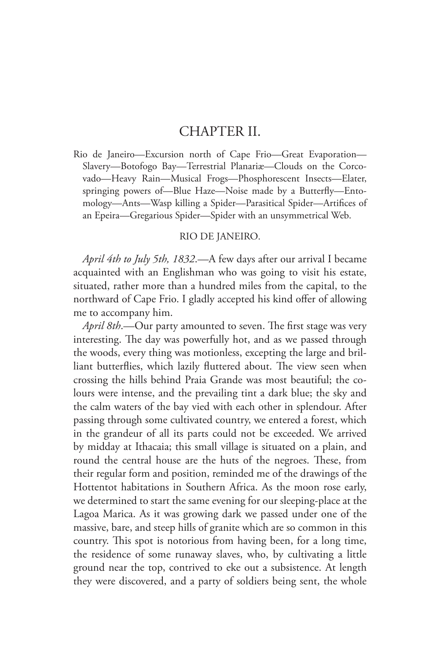## CHAPTER II.

Rio de Janeiro—Excursion north of Cape Frio—Great Evaporation— Slavery—Botofogo Bay—Terrestrial Planariæ—Clouds on the Corcovado—Heavy Rain—Musical Frogs—Phosphorescent Insects—Elater, springing powers of—Blue Haze—Noise made by a Butterfly—Entomology—Ants—Wasp killing a Spider—Parasitical Spider—Artifices of an Epeira—Gregarious Spider—Spider with an unsymmetrical Web.

## RIO DE JANEIRO.

*April 4th to July 5th, 1832*.—A few days after our arrival I became acquainted with an Englishman who was going to visit his estate, situated, rather more than a hundred miles from the capital, to the northward of Cape Frio. I gladly accepted his kind offer of allowing me to accompany him.

*April 8th*.—Our party amounted to seven. The first stage was very interesting. The day was powerfully hot, and as we passed through the woods, every thing was motionless, excepting the large and brilliant butterflies, which lazily fluttered about. The view seen when crossing the hills behind Praia Grande was most beautiful; the colours were intense, and the prevailing tint a dark blue; the sky and the calm waters of the bay vied with each other in splendour. After passing through some cultivated country, we entered a forest, which in the grandeur of all its parts could not be exceeded. We arrived by midday at Ithacaia; this small village is situated on a plain, and round the central house are the huts of the negroes. These, from their regular form and position, reminded me of the drawings of the Hottentot habitations in Southern Africa. As the moon rose early, we determined to start the same evening for our sleeping-place at the Lagoa Marica. As it was growing dark we passed under one of the massive, bare, and steep hills of granite which are so common in this country. This spot is notorious from having been, for a long time, the residence of some runaway slaves, who, by cultivating a little ground near the top, contrived to eke out a subsistence. At length they were discovered, and a party of soldiers being sent, the whole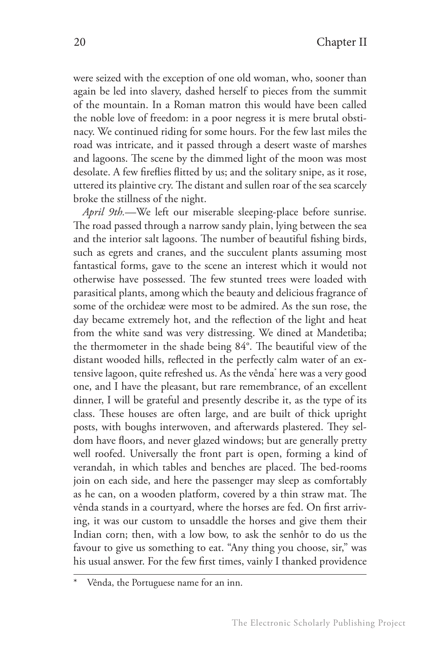were seized with the exception of one old woman, who, sooner than again be led into slavery, dashed herself to pieces from the summit of the mountain. In a Roman matron this would have been called the noble love of freedom: in a poor negress it is mere brutal obstinacy. We continued riding for some hours. For the few last miles the road was intricate, and it passed through a desert waste of marshes and lagoons. The scene by the dimmed light of the moon was most desolate. A few fireflies flitted by us; and the solitary snipe, as it rose, uttered its plaintive cry. The distant and sullen roar of the sea scarcely broke the stillness of the night.

*April 9th.*—We left our miserable sleeping-place before sunrise. The road passed through a narrow sandy plain, lying between the sea and the interior salt lagoons. The number of beautiful fishing birds, such as egrets and cranes, and the succulent plants assuming most fantastical forms, gave to the scene an interest which it would not otherwise have possessed. The few stunted trees were loaded with parasitical plants, among which the beauty and delicious fragrance of some of the orchideæ were most to be admired. As the sun rose, the day became extremely hot, and the reflection of the light and heat from the white sand was very distressing. We dined at Mandetiba; the thermometer in the shade being 84°. The beautiful view of the distant wooded hills, reflected in the perfectly calm water of an extensive lagoon, quite refreshed us. As the vênda\* here was a very good one, and I have the pleasant, but rare remembrance, of an excellent dinner, I will be grateful and presently describe it, as the type of its class. These houses are often large, and are built of thick upright posts, with boughs interwoven, and afterwards plastered. They seldom have floors, and never glazed windows; but are generally pretty well roofed. Universally the front part is open, forming a kind of verandah, in which tables and benches are placed. The bed-rooms join on each side, and here the passenger may sleep as comfortably as he can, on a wooden platform, covered by a thin straw mat. The vênda stands in a courtyard, where the horses are fed. On first arriving, it was our custom to unsaddle the horses and give them their Indian corn; then, with a low bow, to ask the senhôr to do us the favour to give us something to eat. "Any thing you choose, sir," was his usual answer. For the few first times, vainly I thanked providence

Vênda, the Portuguese name for an inn.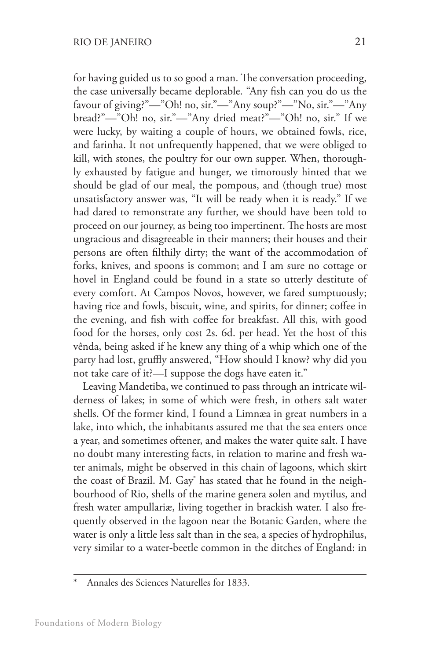for having guided us to so good a man. The conversation proceeding, the case universally became deplorable. "Any fish can you do us the favour of giving?"—"Oh! no, sir."—"Any soup?"—"No, sir."—"Any bread?"—"Oh! no, sir."—"Any dried meat?"—"Oh! no, sir." If we were lucky, by waiting a couple of hours, we obtained fowls, rice, and farinha. It not unfrequently happened, that we were obliged to kill, with stones, the poultry for our own supper. When, thoroughly exhausted by fatigue and hunger, we timorously hinted that we should be glad of our meal, the pompous, and (though true) most unsatisfactory answer was, "It will be ready when it is ready." If we had dared to remonstrate any further, we should have been told to proceed on our journey, as being too impertinent. The hosts are most ungracious and disagreeable in their manners; their houses and their persons are often filthily dirty; the want of the accommodation of forks, knives, and spoons is common; and I am sure no cottage or hovel in England could be found in a state so utterly destitute of every comfort. At Campos Novos, however, we fared sumptuously; having rice and fowls, biscuit, wine, and spirits, for dinner; coffee in the evening, and fish with coffee for breakfast. All this, with good food for the horses, only cost 2s. 6d. per head. Yet the host of this vênda, being asked if he knew any thing of a whip which one of the party had lost, gruffly answered, "How should I know? why did you not take care of it?—I suppose the dogs have eaten it."

Leaving Mandetiba, we continued to pass through an intricate wilderness of lakes; in some of which were fresh, in others salt water shells. Of the former kind, I found a Limnæa in great numbers in a lake, into which, the inhabitants assured me that the sea enters once a year, and sometimes oftener, and makes the water quite salt. I have no doubt many interesting facts, in relation to marine and fresh water animals, might be observed in this chain of lagoons, which skirt the coast of Brazil. M. Gay\* has stated that he found in the neighbourhood of Rio, shells of the marine genera solen and mytilus, and fresh water ampullariæ, living together in brackish water. I also frequently observed in the lagoon near the Botanic Garden, where the water is only a little less salt than in the sea, a species of hydrophilus, very similar to a water-beetle common in the ditches of England: in

Annales des Sciences Naturelles for 1833.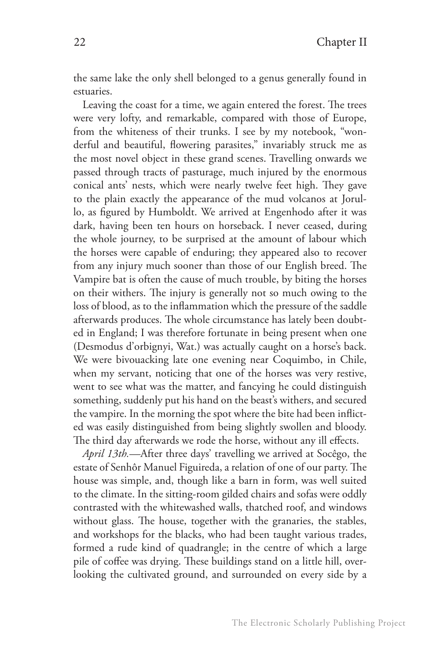the same lake the only shell belonged to a genus generally found in estuaries.

Leaving the coast for a time, we again entered the forest. The trees were very lofty, and remarkable, compared with those of Europe, from the whiteness of their trunks. I see by my notebook, "wonderful and beautiful, flowering parasites," invariably struck me as the most novel object in these grand scenes. Travelling onwards we passed through tracts of pasturage, much injured by the enormous conical ants' nests, which were nearly twelve feet high. They gave to the plain exactly the appearance of the mud volcanos at Jorullo, as figured by Humboldt. We arrived at Engenhodo after it was dark, having been ten hours on horseback. I never ceased, during the whole journey, to be surprised at the amount of labour which the horses were capable of enduring; they appeared also to recover from any injury much sooner than those of our English breed. The Vampire bat is often the cause of much trouble, by biting the horses on their withers. The injury is generally not so much owing to the loss of blood, as to the inflammation which the pressure of the saddle afterwards produces. The whole circumstance has lately been doubted in England; I was therefore fortunate in being present when one (Desmodus d'orbignyi, Wat.) was actually caught on a horse's back. We were bivouacking late one evening near Coquimbo, in Chile, when my servant, noticing that one of the horses was very restive, went to see what was the matter, and fancying he could distinguish something, suddenly put his hand on the beast's withers, and secured the vampire. In the morning the spot where the bite had been inflicted was easily distinguished from being slightly swollen and bloody. The third day afterwards we rode the horse, without any ill effects.

*April 13th.*—After three days' travelling we arrived at Socêgo, the estate of Senhôr Manuel Figuireda, a relation of one of our party. The house was simple, and, though like a barn in form, was well suited to the climate. In the sitting-room gilded chairs and sofas were oddly contrasted with the whitewashed walls, thatched roof, and windows without glass. The house, together with the granaries, the stables, and workshops for the blacks, who had been taught various trades, formed a rude kind of quadrangle; in the centre of which a large pile of coffee was drying. These buildings stand on a little hill, overlooking the cultivated ground, and surrounded on every side by a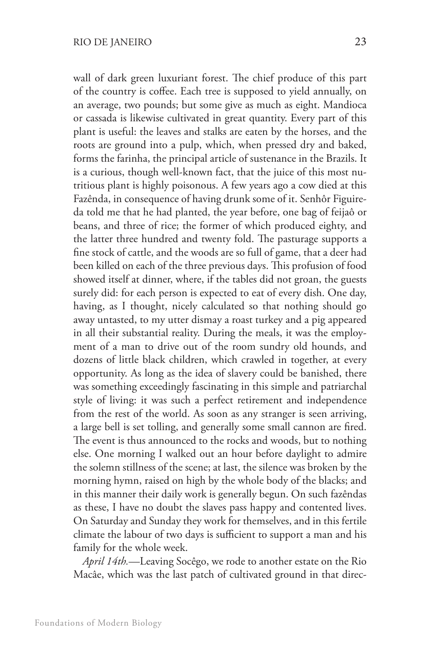wall of dark green luxuriant forest. The chief produce of this part of the country is coffee. Each tree is supposed to yield annually, on an average, two pounds; but some give as much as eight. Mandioca or cassada is likewise cultivated in great quantity. Every part of this plant is useful: the leaves and stalks are eaten by the horses, and the roots are ground into a pulp, which, when pressed dry and baked, forms the farinha, the principal article of sustenance in the Brazils. It is a curious, though well-known fact, that the juice of this most nutritious plant is highly poisonous. A few years ago a cow died at this Fazênda, in consequence of having drunk some of it. Senhôr Figuireda told me that he had planted, the year before, one bag of feijaô or beans, and three of rice; the former of which produced eighty, and the latter three hundred and twenty fold. The pasturage supports a fine stock of cattle, and the woods are so full of game, that a deer had been killed on each of the three previous days. This profusion of food showed itself at dinner, where, if the tables did not groan, the guests surely did: for each person is expected to eat of every dish. One day, having, as I thought, nicely calculated so that nothing should go away untasted, to my utter dismay a roast turkey and a pig appeared in all their substantial reality. During the meals, it was the employment of a man to drive out of the room sundry old hounds, and dozens of little black children, which crawled in together, at every opportunity. As long as the idea of slavery could be banished, there was something exceedingly fascinating in this simple and patriarchal style of living: it was such a perfect retirement and independence from the rest of the world. As soon as any stranger is seen arriving, a large bell is set tolling, and generally some small cannon are fired. The event is thus announced to the rocks and woods, but to nothing else. One morning I walked out an hour before daylight to admire the solemn stillness of the scene; at last, the silence was broken by the morning hymn, raised on high by the whole body of the blacks; and in this manner their daily work is generally begun. On such fazêndas as these, I have no doubt the slaves pass happy and contented lives. On Saturday and Sunday they work for themselves, and in this fertile climate the labour of two days is sufficient to support a man and his family for the whole week.

*April 14th.*—Leaving Socêgo, we rode to another estate on the Rio Macâe, which was the last patch of cultivated ground in that direc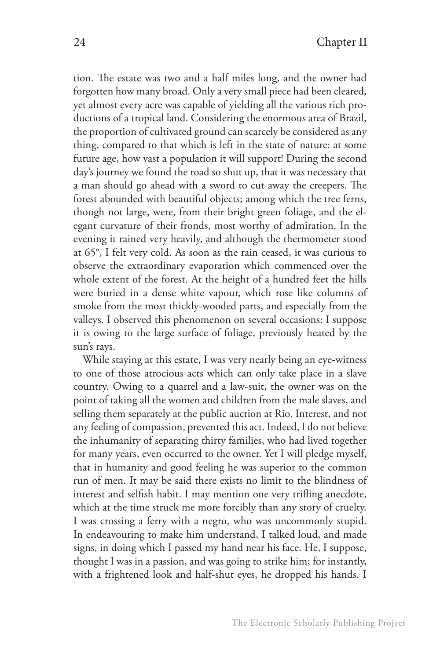tion. The estate was two and a half miles long, and the owner had forgotten how many broad. Only a very small piece had been cleared, yet almost every acre was capable of yielding all the various rich productions of a tropical land. Considering the enormous area of Brazil, the proportion of cultivated ground can scarcely be considered as any thing, compared to that which is left in the state of nature: at some future age, how vast a population it will support! During the second day's journey we found the road so shut up, that it was necessary that a man should go ahead with a sword to cut away the creepers. The forest abounded with beautiful objects; among which the tree ferns, though not large, were, from their bright green foliage, and the elegant curvature of their fronds, most worthy of admiration. In the evening it rained very heavily, and although the thermometer stood at 65°, I felt very cold. As soon as the rain ceased, it was curious to observe the extraordinary evaporation which commenced over the whole extent of the forest. At the height of a hundred feet the hills were buried in a dense white vapour, which rose like columns of smoke from the most thickly-wooded parts, and especially from the valleys. I observed this phenomenon on several occasions: I suppose it is owing to the large surface of foliage, previously heated by the sun's rays.

While staying at this estate, I was very nearly being an eye-witness to one of those atrocious acts which can only take place in a slave country. Owing to a quarrel and a law-suit, the owner was on the point of taking all the women and children from the male slaves, and selling them separately at the public auction at Rio. Interest, and not any feeling of compassion, prevented this act. Indeed, I do not believe the inhumanity of separating thirty families, who had lived together for many years, even occurred to the owner. Yet I will pledge myself, that in humanity and good feeling he was superior to the common run of men. It may be said there exists no limit to the blindness of interest and selfish habit. I may mention one very trifling anecdote, which at the time struck me more forcibly than any story of cruelty. I was crossing a ferry with a negro, who was uncommonly stupid. In endeavouring to make him understand, I talked loud, and made signs, in doing which I passed my hand near his face. He, I suppose, thought I was in a passion, and was going to strike him; for instantly, with a frightened look and half-shut eyes, he dropped his hands. I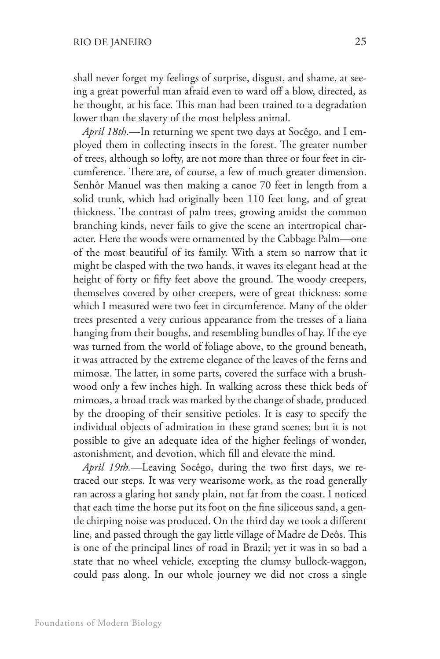shall never forget my feelings of surprise, disgust, and shame, at seeing a great powerful man afraid even to ward off a blow, directed, as he thought, at his face. This man had been trained to a degradation lower than the slavery of the most helpless animal.

*April 18th*.—In returning we spent two days at Socêgo, and I employed them in collecting insects in the forest. The greater number of trees, although so lofty, are not more than three or four feet in circumference. There are, of course, a few of much greater dimension. Senhôr Manuel was then making a canoe 70 feet in length from a solid trunk, which had originally been 110 feet long, and of great thickness. The contrast of palm trees, growing amidst the common branching kinds, never fails to give the scene an intertropical character. Here the woods were ornamented by the Cabbage Palm—one of the most beautiful of its family. With a stem so narrow that it might be clasped with the two hands, it waves its elegant head at the height of forty or fifty feet above the ground. The woody creepers, themselves covered by other creepers, were of great thickness: some which I measured were two feet in circumference. Many of the older trees presented a very curious appearance from the tresses of a liana hanging from their boughs, and resembling bundles of hay. If the eye was turned from the world of foliage above, to the ground beneath, it was attracted by the extreme elegance of the leaves of the ferns and mimosæ. The latter, in some parts, covered the surface with a brushwood only a few inches high. In walking across these thick beds of mimoæs, a broad track was marked by the change of shade, produced by the drooping of their sensitive petioles. It is easy to specify the individual objects of admiration in these grand scenes; but it is not possible to give an adequate idea of the higher feelings of wonder, astonishment, and devotion, which fill and elevate the mind.

*April 19th.*—Leaving Socêgo, during the two first days, we retraced our steps. It was very wearisome work, as the road generally ran across a glaring hot sandy plain, not far from the coast. I noticed that each time the horse put its foot on the fine siliceous sand, a gentle chirping noise was produced. On the third day we took a different line, and passed through the gay little village of Madre de Deôs. This is one of the principal lines of road in Brazil; yet it was in so bad a state that no wheel vehicle, excepting the clumsy bullock-waggon, could pass along. In our whole journey we did not cross a single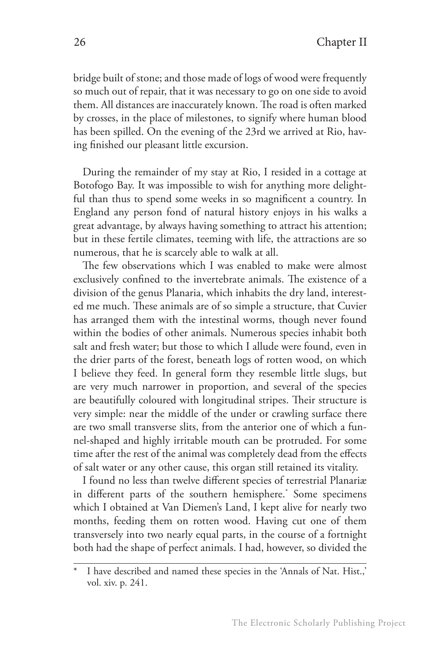bridge built of stone; and those made of logs of wood were frequently so much out of repair, that it was necessary to go on one side to avoid them. All distances are inaccurately known. The road is often marked by crosses, in the place of milestones, to signify where human blood has been spilled. On the evening of the 23rd we arrived at Rio, having finished our pleasant little excursion.

During the remainder of my stay at Rio, I resided in a cottage at Botofogo Bay. It was impossible to wish for anything more delightful than thus to spend some weeks in so magnificent a country. In England any person fond of natural history enjoys in his walks a great advantage, by always having something to attract his attention; but in these fertile climates, teeming with life, the attractions are so numerous, that he is scarcely able to walk at all.

The few observations which I was enabled to make were almost exclusively confined to the invertebrate animals. The existence of a division of the genus Planaria, which inhabits the dry land, interested me much. These animals are of so simple a structure, that Cuvier has arranged them with the intestinal worms, though never found within the bodies of other animals. Numerous species inhabit both salt and fresh water; but those to which I allude were found, even in the drier parts of the forest, beneath logs of rotten wood, on which I believe they feed. In general form they resemble little slugs, but are very much narrower in proportion, and several of the species are beautifully coloured with longitudinal stripes. Their structure is very simple: near the middle of the under or crawling surface there are two small transverse slits, from the anterior one of which a funnel-shaped and highly irritable mouth can be protruded. For some time after the rest of the animal was completely dead from the effects of salt water or any other cause, this organ still retained its vitality.

I found no less than twelve different species of terrestrial Planariæ in different parts of the southern hemisphere.\* Some specimens which I obtained at Van Diemen's Land, I kept alive for nearly two months, feeding them on rotten wood. Having cut one of them transversely into two nearly equal parts, in the course of a fortnight both had the shape of perfect animals. I had, however, so divided the

I have described and named these species in the 'Annals of Nat. Hist.,' vol. xiv. p. 241.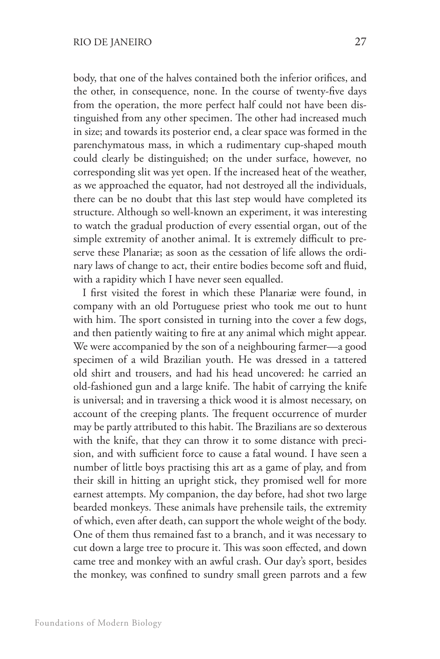body, that one of the halves contained both the inferior orifices, and the other, in consequence, none. In the course of twenty-five days from the operation, the more perfect half could not have been distinguished from any other specimen. The other had increased much in size; and towards its posterior end, a clear space was formed in the parenchymatous mass, in which a rudimentary cup-shaped mouth could clearly be distinguished; on the under surface, however, no corresponding slit was yet open. If the increased heat of the weather, as we approached the equator, had not destroyed all the individuals, there can be no doubt that this last step would have completed its structure. Although so well-known an experiment, it was interesting to watch the gradual production of every essential organ, out of the simple extremity of another animal. It is extremely difficult to preserve these Planariæ; as soon as the cessation of life allows the ordinary laws of change to act, their entire bodies become soft and fluid, with a rapidity which I have never seen equalled.

I first visited the forest in which these Planariæ were found, in company with an old Portuguese priest who took me out to hunt with him. The sport consisted in turning into the cover a few dogs, and then patiently waiting to fire at any animal which might appear. We were accompanied by the son of a neighbouring farmer—a good specimen of a wild Brazilian youth. He was dressed in a tattered old shirt and trousers, and had his head uncovered: he carried an old-fashioned gun and a large knife. The habit of carrying the knife is universal; and in traversing a thick wood it is almost necessary, on account of the creeping plants. The frequent occurrence of murder may be partly attributed to this habit. The Brazilians are so dexterous with the knife, that they can throw it to some distance with precision, and with sufficient force to cause a fatal wound. I have seen a number of little boys practising this art as a game of play, and from their skill in hitting an upright stick, they promised well for more earnest attempts. My companion, the day before, had shot two large bearded monkeys. These animals have prehensile tails, the extremity of which, even after death, can support the whole weight of the body. One of them thus remained fast to a branch, and it was necessary to cut down a large tree to procure it. This was soon effected, and down came tree and monkey with an awful crash. Our day's sport, besides the monkey, was confined to sundry small green parrots and a few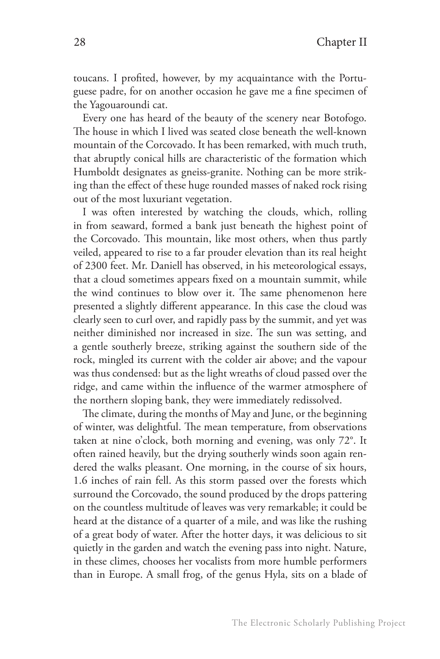toucans. I profited, however, by my acquaintance with the Portuguese padre, for on another occasion he gave me a fine specimen of the Yagouaroundi cat.

Every one has heard of the beauty of the scenery near Botofogo. The house in which I lived was seated close beneath the well-known mountain of the Corcovado. It has been remarked, with much truth, that abruptly conical hills are characteristic of the formation which Humboldt designates as gneiss-granite. Nothing can be more striking than the effect of these huge rounded masses of naked rock rising out of the most luxuriant vegetation.

I was often interested by watching the clouds, which, rolling in from seaward, formed a bank just beneath the highest point of the Corcovado. This mountain, like most others, when thus partly veiled, appeared to rise to a far prouder elevation than its real height of 2300 feet. Mr. Daniell has observed, in his meteorological essays, that a cloud sometimes appears fixed on a mountain summit, while the wind continues to blow over it. The same phenomenon here presented a slightly different appearance. In this case the cloud was clearly seen to curl over, and rapidly pass by the summit, and yet was neither diminished nor increased in size. The sun was setting, and a gentle southerly breeze, striking against the southern side of the rock, mingled its current with the colder air above; and the vapour was thus condensed: but as the light wreaths of cloud passed over the ridge, and came within the influence of the warmer atmosphere of the northern sloping bank, they were immediately redissolved.

The climate, during the months of May and June, or the beginning of winter, was delightful. The mean temperature, from observations taken at nine o'clock, both morning and evening, was only 72°. It often rained heavily, but the drying southerly winds soon again rendered the walks pleasant. One morning, in the course of six hours, 1.6 inches of rain fell. As this storm passed over the forests which surround the Corcovado, the sound produced by the drops pattering on the countless multitude of leaves was very remarkable; it could be heard at the distance of a quarter of a mile, and was like the rushing of a great body of water. After the hotter days, it was delicious to sit quietly in the garden and watch the evening pass into night. Nature, in these climes, chooses her vocalists from more humble performers than in Europe. A small frog, of the genus Hyla, sits on a blade of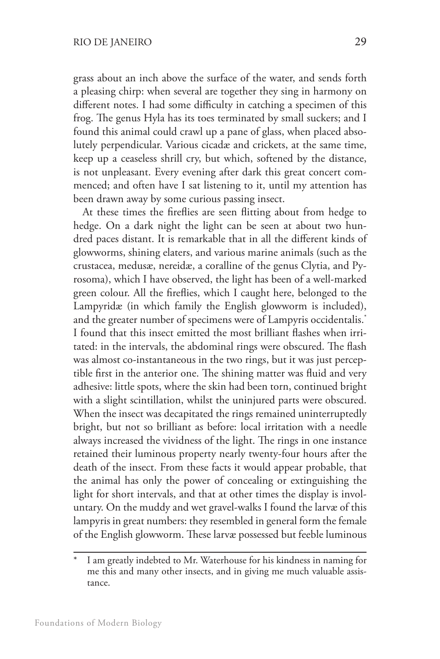grass about an inch above the surface of the water, and sends forth a pleasing chirp: when several are together they sing in harmony on different notes. I had some difficulty in catching a specimen of this frog. The genus Hyla has its toes terminated by small suckers; and I found this animal could crawl up a pane of glass, when placed absolutely perpendicular. Various cicadæ and crickets, at the same time, keep up a ceaseless shrill cry, but which, softened by the distance, is not unpleasant. Every evening after dark this great concert commenced; and often have I sat listening to it, until my attention has been drawn away by some curious passing insect.

At these times the fireflies are seen flitting about from hedge to hedge. On a dark night the light can be seen at about two hundred paces distant. It is remarkable that in all the different kinds of glowworms, shining elaters, and various marine animals (such as the crustacea, medusæ, nereidæ, a coralline of the genus Clytia, and Pyrosoma), which I have observed, the light has been of a well-marked green colour. All the fireflies, which I caught here, belonged to the Lampyridæ (in which family the English glowworm is included), and the greater number of specimens were of Lampyris occidentalis.<sup>\*</sup> I found that this insect emitted the most brilliant flashes when irritated: in the intervals, the abdominal rings were obscured. The flash was almost co-instantaneous in the two rings, but it was just perceptible first in the anterior one. The shining matter was fluid and very adhesive: little spots, where the skin had been torn, continued bright with a slight scintillation, whilst the uninjured parts were obscured. When the insect was decapitated the rings remained uninterruptedly bright, but not so brilliant as before: local irritation with a needle always increased the vividness of the light. The rings in one instance retained their luminous property nearly twenty-four hours after the death of the insect. From these facts it would appear probable, that the animal has only the power of concealing or extinguishing the light for short intervals, and that at other times the display is involuntary. On the muddy and wet gravel-walks I found the larvæ of this lampyris in great numbers: they resembled in general form the female of the English glowworm. These larvæ possessed but feeble luminous

I am greatly indebted to Mr. Waterhouse for his kindness in naming for me this and many other insects, and in giving me much valuable assistance.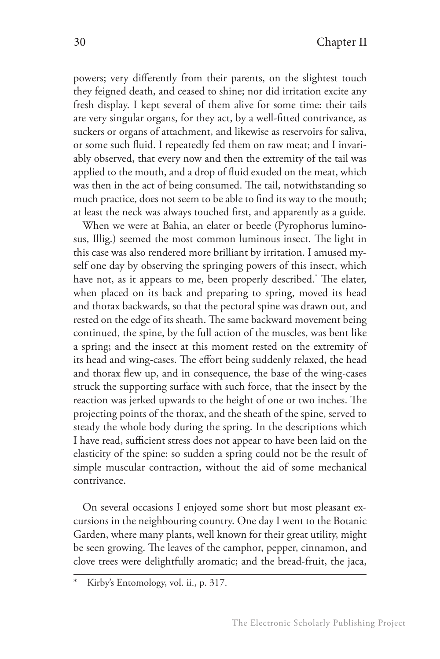powers; very differently from their parents, on the slightest touch they feigned death, and ceased to shine; nor did irritation excite any fresh display. I kept several of them alive for some time: their tails are very singular organs, for they act, by a well-fitted contrivance, as suckers or organs of attachment, and likewise as reservoirs for saliva, or some such fluid. I repeatedly fed them on raw meat; and I invariably observed, that every now and then the extremity of the tail was applied to the mouth, and a drop of fluid exuded on the meat, which was then in the act of being consumed. The tail, notwithstanding so much practice, does not seem to be able to find its way to the mouth; at least the neck was always touched first, and apparently as a guide.

When we were at Bahia, an elater or beetle (Pyrophorus luminosus, Illig.) seemed the most common luminous insect. The light in this case was also rendered more brilliant by irritation. I amused myself one day by observing the springing powers of this insect, which have not, as it appears to me, been properly described.\* The elater, when placed on its back and preparing to spring, moved its head and thorax backwards, so that the pectoral spine was drawn out, and rested on the edge of its sheath. The same backward movement being continued, the spine, by the full action of the muscles, was bent like a spring; and the insect at this moment rested on the extremity of its head and wing-cases. The effort being suddenly relaxed, the head and thorax flew up, and in consequence, the base of the wing-cases struck the supporting surface with such force, that the insect by the reaction was jerked upwards to the height of one or two inches. The projecting points of the thorax, and the sheath of the spine, served to steady the whole body during the spring. In the descriptions which I have read, sufficient stress does not appear to have been laid on the elasticity of the spine: so sudden a spring could not be the result of simple muscular contraction, without the aid of some mechanical contrivance.

On several occasions I enjoyed some short but most pleasant excursions in the neighbouring country. One day I went to the Botanic Garden, where many plants, well known for their great utility, might be seen growing. The leaves of the camphor, pepper, cinnamon, and clove trees were delightfully aromatic; and the bread-fruit, the jaca,

Kirby's Entomology, vol. ii., p. 317.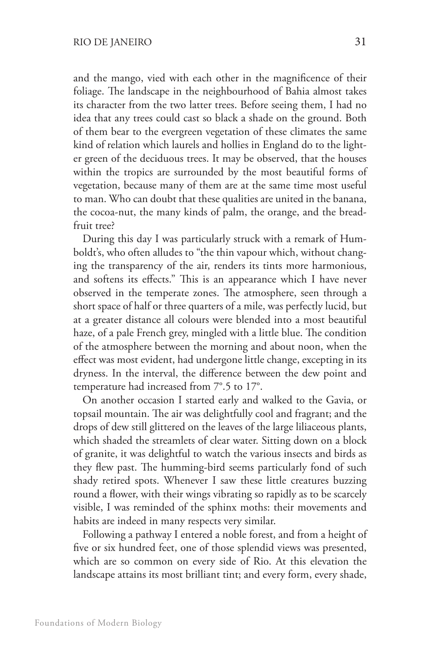and the mango, vied with each other in the magnificence of their foliage. The landscape in the neighbourhood of Bahia almost takes its character from the two latter trees. Before seeing them, I had no idea that any trees could cast so black a shade on the ground. Both of them bear to the evergreen vegetation of these climates the same kind of relation which laurels and hollies in England do to the lighter green of the deciduous trees. It may be observed, that the houses within the tropics are surrounded by the most beautiful forms of vegetation, because many of them are at the same time most useful to man. Who can doubt that these qualities are united in the banana, the cocoa-nut, the many kinds of palm, the orange, and the breadfruit tree?

During this day I was particularly struck with a remark of Humboldt's, who often alludes to "the thin vapour which, without changing the transparency of the air, renders its tints more harmonious, and softens its effects." This is an appearance which I have never observed in the temperate zones. The atmosphere, seen through a short space of half or three quarters of a mile, was perfectly lucid, but at a greater distance all colours were blended into a most beautiful haze, of a pale French grey, mingled with a little blue. The condition of the atmosphere between the morning and about noon, when the effect was most evident, had undergone little change, excepting in its dryness. In the interval, the difference between the dew point and temperature had increased from 7°.5 to 17°.

On another occasion I started early and walked to the Gavia, or topsail mountain. The air was delightfully cool and fragrant; and the drops of dew still glittered on the leaves of the large liliaceous plants, which shaded the streamlets of clear water. Sitting down on a block of granite, it was delightful to watch the various insects and birds as they flew past. The humming-bird seems particularly fond of such shady retired spots. Whenever I saw these little creatures buzzing round a flower, with their wings vibrating so rapidly as to be scarcely visible, I was reminded of the sphinx moths: their movements and habits are indeed in many respects very similar.

Following a pathway I entered a noble forest, and from a height of five or six hundred feet, one of those splendid views was presented, which are so common on every side of Rio. At this elevation the landscape attains its most brilliant tint; and every form, every shade,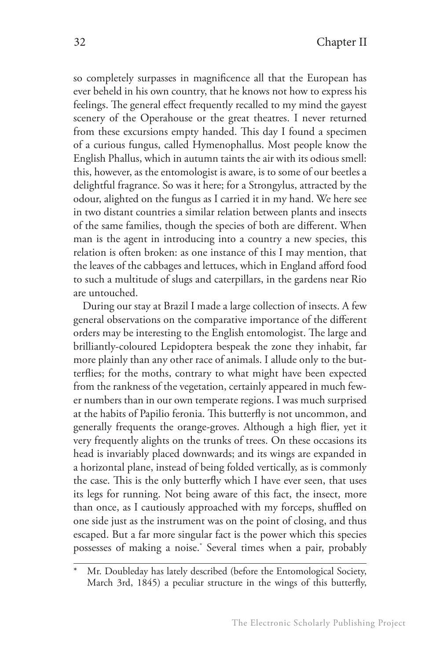so completely surpasses in magnificence all that the European has ever beheld in his own country, that he knows not how to express his feelings. The general effect frequently recalled to my mind the gayest scenery of the Operahouse or the great theatres. I never returned from these excursions empty handed. This day I found a specimen of a curious fungus, called Hymenophallus. Most people know the English Phallus, which in autumn taints the air with its odious smell: this, however, as the entomologist is aware, is to some of our beetles a delightful fragrance. So was it here; for a Strongylus, attracted by the odour, alighted on the fungus as I carried it in my hand. We here see in two distant countries a similar relation between plants and insects of the same families, though the species of both are different. When man is the agent in introducing into a country a new species, this relation is often broken: as one instance of this I may mention, that the leaves of the cabbages and lettuces, which in England afford food to such a multitude of slugs and caterpillars, in the gardens near Rio are untouched.

During our stay at Brazil I made a large collection of insects. A few general observations on the comparative importance of the different orders may be interesting to the English entomologist. The large and brilliantly-coloured Lepidoptera bespeak the zone they inhabit, far more plainly than any other race of animals. I allude only to the butterflies; for the moths, contrary to what might have been expected from the rankness of the vegetation, certainly appeared in much fewer numbers than in our own temperate regions. I was much surprised at the habits of Papilio feronia. This butterfly is not uncommon, and generally frequents the orange-groves. Although a high flier, yet it very frequently alights on the trunks of trees. On these occasions its head is invariably placed downwards; and its wings are expanded in a horizontal plane, instead of being folded vertically, as is commonly the case. This is the only butterfly which I have ever seen, that uses its legs for running. Not being aware of this fact, the insect, more than once, as I cautiously approached with my forceps, shuffled on one side just as the instrument was on the point of closing, and thus escaped. But a far more singular fact is the power which this species possesses of making a noise.\* Several times when a pair, probably

Mr. Doubleday has lately described (before the Entomological Society, March 3rd, 1845) a peculiar structure in the wings of this butterfly,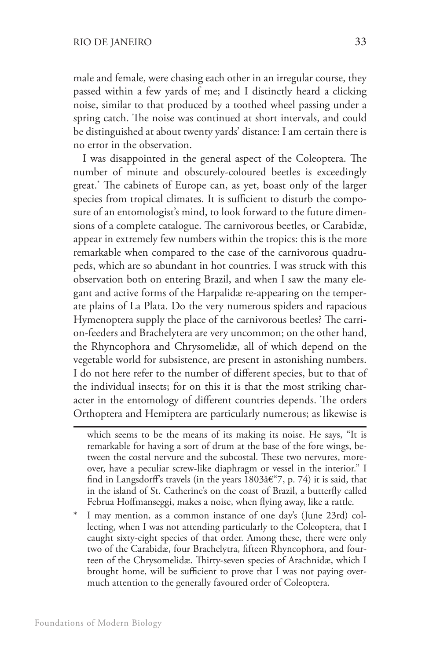male and female, were chasing each other in an irregular course, they passed within a few yards of me; and I distinctly heard a clicking noise, similar to that produced by a toothed wheel passing under a spring catch. The noise was continued at short intervals, and could be distinguished at about twenty yards' distance: I am certain there is no error in the observation.

I was disappointed in the general aspect of the Coleoptera. The number of minute and obscurely-coloured beetles is exceedingly great.\* The cabinets of Europe can, as yet, boast only of the larger species from tropical climates. It is sufficient to disturb the composure of an entomologist's mind, to look forward to the future dimensions of a complete catalogue. The carnivorous beetles, or Carabidæ, appear in extremely few numbers within the tropics: this is the more remarkable when compared to the case of the carnivorous quadrupeds, which are so abundant in hot countries. I was struck with this observation both on entering Brazil, and when I saw the many elegant and active forms of the Harpalidæ re-appearing on the temperate plains of La Plata. Do the very numerous spiders and rapacious Hymenoptera supply the place of the carnivorous beetles? The carrion-feeders and Brachelytera are very uncommon; on the other hand, the Rhyncophora and Chrysomelidæ, all of which depend on the vegetable world for subsistence, are present in astonishing numbers. I do not here refer to the number of different species, but to that of the individual insects; for on this it is that the most striking character in the entomology of different countries depends. The orders Orthoptera and Hemiptera are particularly numerous; as likewise is

I may mention, as a common instance of one day's (June 23rd) collecting, when I was not attending particularly to the Coleoptera, that I caught sixty-eight species of that order. Among these, there were only two of the Carabidæ, four Brachelytra, fifteen Rhyncophora, and fourteen of the Chrysomelidæ. Thirty-seven species of Arachnidæ, which I brought home, will be sufficient to prove that I was not paying overmuch attention to the generally favoured order of Coleoptera.

which seems to be the means of its making its noise. He says, "It is remarkable for having a sort of drum at the base of the fore wings, between the costal nervure and the subcostal. These two nervures, moreover, have a peculiar screw-like diaphragm or vessel in the interior." I find in Langsdorff's travels (in the years  $1803\hat{a}\hat{\epsilon}^{\alpha}$ , p. 74) it is said, that in the island of St. Catherine's on the coast of Brazil, a butterfly called Februa Hoffmanseggi, makes a noise, when flying away, like a rattle.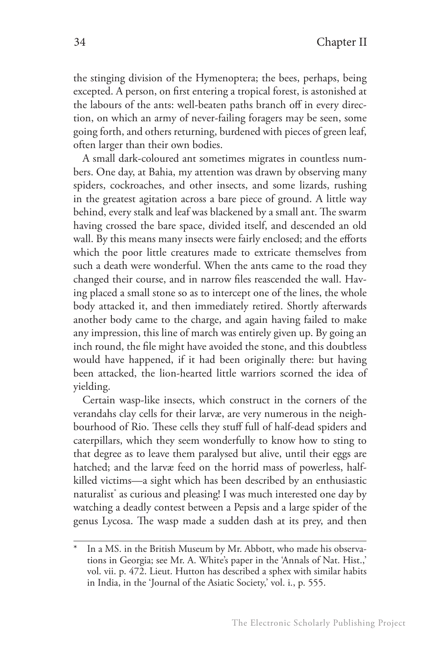the stinging division of the Hymenoptera; the bees, perhaps, being excepted. A person, on first entering a tropical forest, is astonished at the labours of the ants: well-beaten paths branch off in every direction, on which an army of never-failing foragers may be seen, some going forth, and others returning, burdened with pieces of green leaf, often larger than their own bodies.

A small dark-coloured ant sometimes migrates in countless numbers. One day, at Bahia, my attention was drawn by observing many spiders, cockroaches, and other insects, and some lizards, rushing in the greatest agitation across a bare piece of ground. A little way behind, every stalk and leaf was blackened by a small ant. The swarm having crossed the bare space, divided itself, and descended an old wall. By this means many insects were fairly enclosed; and the efforts which the poor little creatures made to extricate themselves from such a death were wonderful. When the ants came to the road they changed their course, and in narrow files reascended the wall. Having placed a small stone so as to intercept one of the lines, the whole body attacked it, and then immediately retired. Shortly afterwards another body came to the charge, and again having failed to make any impression, this line of march was entirely given up. By going an inch round, the file might have avoided the stone, and this doubtless would have happened, if it had been originally there: but having been attacked, the lion-hearted little warriors scorned the idea of yielding.

Certain wasp-like insects, which construct in the corners of the verandahs clay cells for their larvæ, are very numerous in the neighbourhood of Rio. These cells they stuff full of half-dead spiders and caterpillars, which they seem wonderfully to know how to sting to that degree as to leave them paralysed but alive, until their eggs are hatched; and the larvæ feed on the horrid mass of powerless, halfkilled victims—a sight which has been described by an enthusiastic naturalist\* as curious and pleasing! I was much interested one day by watching a deadly contest between a Pepsis and a large spider of the genus Lycosa. The wasp made a sudden dash at its prey, and then

In a MS. in the British Museum by Mr. Abbott, who made his observations in Georgia; see Mr. A. White's paper in the 'Annals of Nat. Hist.,' vol. vii. p. 472. Lieut. Hutton has described a sphex with similar habits in India, in the 'Journal of the Asiatic Society,' vol. i., p. 555.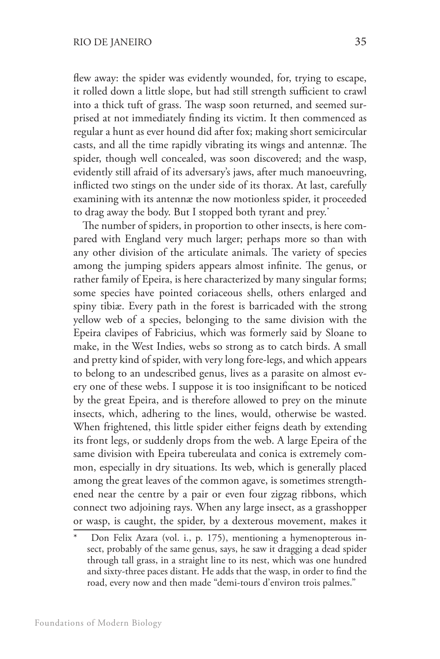flew away: the spider was evidently wounded, for, trying to escape, it rolled down a little slope, but had still strength sufficient to crawl into a thick tuft of grass. The wasp soon returned, and seemed surprised at not immediately finding its victim. It then commenced as regular a hunt as ever hound did after fox; making short semicircular casts, and all the time rapidly vibrating its wings and antennæ. The spider, though well concealed, was soon discovered; and the wasp, evidently still afraid of its adversary's jaws, after much manoeuvring, inflicted two stings on the under side of its thorax. At last, carefully examining with its antennæ the now motionless spider, it proceeded to drag away the body. But I stopped both tyrant and prey.\*

The number of spiders, in proportion to other insects, is here compared with England very much larger; perhaps more so than with any other division of the articulate animals. The variety of species among the jumping spiders appears almost infinite. The genus, or rather family of Epeira, is here characterized by many singular forms; some species have pointed coriaceous shells, others enlarged and spiny tibiæ. Every path in the forest is barricaded with the strong yellow web of a species, belonging to the same division with the Epeira clavipes of Fabricius, which was formerly said by Sloane to make, in the West Indies, webs so strong as to catch birds. A small and pretty kind of spider, with very long fore-legs, and which appears to belong to an undescribed genus, lives as a parasite on almost every one of these webs. I suppose it is too insignificant to be noticed by the great Epeira, and is therefore allowed to prey on the minute insects, which, adhering to the lines, would, otherwise be wasted. When frightened, this little spider either feigns death by extending its front legs, or suddenly drops from the web. A large Epeira of the same division with Epeira tubereulata and conica is extremely common, especially in dry situations. Its web, which is generally placed among the great leaves of the common agave, is sometimes strengthened near the centre by a pair or even four zigzag ribbons, which connect two adjoining rays. When any large insect, as a grasshopper or wasp, is caught, the spider, by a dexterous movement, makes it

Don Felix Azara (vol. i., p. 175), mentioning a hymenopterous insect, probably of the same genus, says, he saw it dragging a dead spider through tall grass, in a straight line to its nest, which was one hundred and sixty-three paces distant. He adds that the wasp, in order to find the road, every now and then made "demi-tours d'environ trois palmes."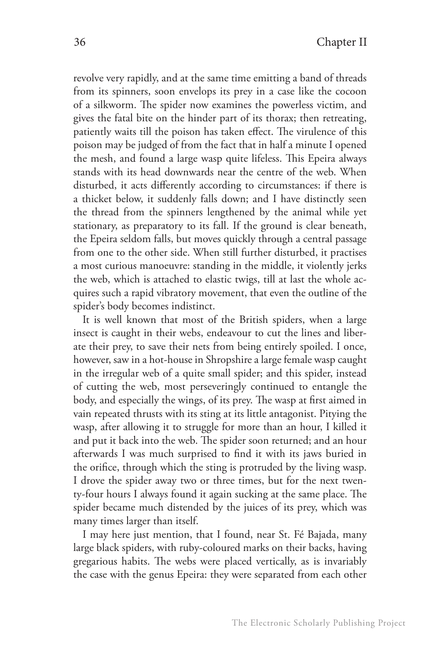revolve very rapidly, and at the same time emitting a band of threads from its spinners, soon envelops its prey in a case like the cocoon of a silkworm. The spider now examines the powerless victim, and gives the fatal bite on the hinder part of its thorax; then retreating, patiently waits till the poison has taken effect. The virulence of this poison may be judged of from the fact that in half a minute I opened the mesh, and found a large wasp quite lifeless. This Epeira always stands with its head downwards near the centre of the web. When disturbed, it acts differently according to circumstances: if there is a thicket below, it suddenly falls down; and I have distinctly seen the thread from the spinners lengthened by the animal while yet stationary, as preparatory to its fall. If the ground is clear beneath, the Epeira seldom falls, but moves quickly through a central passage from one to the other side. When still further disturbed, it practises a most curious manoeuvre: standing in the middle, it violently jerks the web, which is attached to elastic twigs, till at last the whole acquires such a rapid vibratory movement, that even the outline of the spider's body becomes indistinct.

It is well known that most of the British spiders, when a large insect is caught in their webs, endeavour to cut the lines and liberate their prey, to save their nets from being entirely spoiled. I once, however, saw in a hot-house in Shropshire a large female wasp caught in the irregular web of a quite small spider; and this spider, instead of cutting the web, most perseveringly continued to entangle the body, and especially the wings, of its prey. The wasp at first aimed in vain repeated thrusts with its sting at its little antagonist. Pitying the wasp, after allowing it to struggle for more than an hour, I killed it and put it back into the web. The spider soon returned; and an hour afterwards I was much surprised to find it with its jaws buried in the orifice, through which the sting is protruded by the living wasp. I drove the spider away two or three times, but for the next twenty-four hours I always found it again sucking at the same place. The spider became much distended by the juices of its prey, which was many times larger than itself.

I may here just mention, that I found, near St. Fé Bajada, many large black spiders, with ruby-coloured marks on their backs, having gregarious habits. The webs were placed vertically, as is invariably the case with the genus Epeira: they were separated from each other